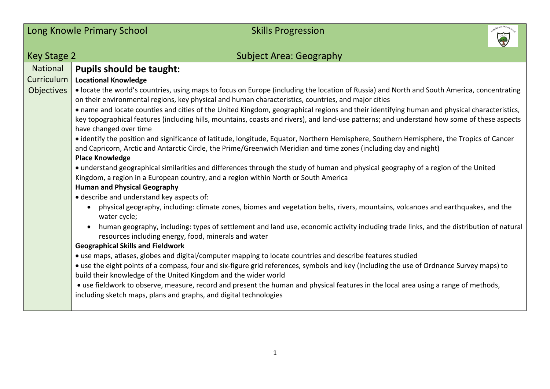|                                                    | Long Knowle Primary School<br><b>Skills Progression</b>                                                                                                                                                                                                                                                                                                                                                                                                                                                                                                                                                                                                                                                                                                                                                                                                                                                                                                                                                                                                                                                                                                               |
|----------------------------------------------------|-----------------------------------------------------------------------------------------------------------------------------------------------------------------------------------------------------------------------------------------------------------------------------------------------------------------------------------------------------------------------------------------------------------------------------------------------------------------------------------------------------------------------------------------------------------------------------------------------------------------------------------------------------------------------------------------------------------------------------------------------------------------------------------------------------------------------------------------------------------------------------------------------------------------------------------------------------------------------------------------------------------------------------------------------------------------------------------------------------------------------------------------------------------------------|
| Key Stage 2                                        | <b>Subject Area: Geography</b>                                                                                                                                                                                                                                                                                                                                                                                                                                                                                                                                                                                                                                                                                                                                                                                                                                                                                                                                                                                                                                                                                                                                        |
| <b>National</b><br>Curriculum<br><b>Objectives</b> | <b>Pupils should be taught:</b><br><b>Locational Knowledge</b><br>· locate the world's countries, using maps to focus on Europe (including the location of Russia) and North and South America, concentrating<br>on their environmental regions, key physical and human characteristics, countries, and major cities<br>• name and locate counties and cities of the United Kingdom, geographical regions and their identifying human and physical characteristics,<br>key topographical features (including hills, mountains, coasts and rivers), and land-use patterns; and understand how some of these aspects<br>have changed over time<br>• identify the position and significance of latitude, longitude, Equator, Northern Hemisphere, Southern Hemisphere, the Tropics of Cancer<br>and Capricorn, Arctic and Antarctic Circle, the Prime/Greenwich Meridian and time zones (including day and night)<br><b>Place Knowledge</b><br>• understand geographical similarities and differences through the study of human and physical geography of a region of the United<br>Kingdom, a region in a European country, and a region within North or South America |
|                                                    | <b>Human and Physical Geography</b><br>· describe and understand key aspects of:<br>physical geography, including: climate zones, biomes and vegetation belts, rivers, mountains, volcanoes and earthquakes, and the<br>$\bullet$<br>water cycle;<br>human geography, including: types of settlement and land use, economic activity including trade links, and the distribution of natural<br>resources including energy, food, minerals and water<br><b>Geographical Skills and Fieldwork</b><br>• use maps, atlases, globes and digital/computer mapping to locate countries and describe features studied<br>• use the eight points of a compass, four and six-figure grid references, symbols and key (including the use of Ordnance Survey maps) to<br>build their knowledge of the United Kingdom and the wider world<br>• use fieldwork to observe, measure, record and present the human and physical features in the local area using a range of methods,<br>including sketch maps, plans and graphs, and digital technologies                                                                                                                              |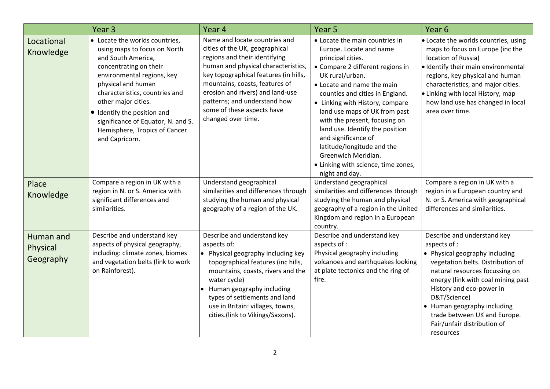|                                    | Year <sub>3</sub>                                                                                                                                                                                                                                                                                                                                   | Year 4                                                                                                                                                                                                                                                                                                                                     | Year <sub>5</sub>                                                                                                                                                                                                                                                                                                                                                                                                                                                                   | Year <sub>6</sub>                                                                                                                                                                                                                                                                                                                                 |
|------------------------------------|-----------------------------------------------------------------------------------------------------------------------------------------------------------------------------------------------------------------------------------------------------------------------------------------------------------------------------------------------------|--------------------------------------------------------------------------------------------------------------------------------------------------------------------------------------------------------------------------------------------------------------------------------------------------------------------------------------------|-------------------------------------------------------------------------------------------------------------------------------------------------------------------------------------------------------------------------------------------------------------------------------------------------------------------------------------------------------------------------------------------------------------------------------------------------------------------------------------|---------------------------------------------------------------------------------------------------------------------------------------------------------------------------------------------------------------------------------------------------------------------------------------------------------------------------------------------------|
| Locational<br>Knowledge            | • Locate the worlds countries,<br>using maps to focus on North<br>and South America,<br>concentrating on their<br>environmental regions, key<br>physical and human<br>characteristics, countries and<br>other major cities.<br>• Identify the position and<br>significance of Equator, N. and S.<br>Hemisphere, Tropics of Cancer<br>and Capricorn. | Name and locate countries and<br>cities of the UK, geographical<br>regions and their identifying<br>human and physical characteristics,<br>key topographical features (in hills,<br>mountains, coasts, features of<br>erosion and rivers) and land-use<br>patterns; and understand how<br>some of these aspects have<br>changed over time. | • Locate the main countries in<br>Europe. Locate and name<br>principal cities.<br>• Compare 2 different regions in<br>UK rural/urban.<br>• Locate and name the main<br>counties and cities in England.<br>• Linking with History, compare<br>land use maps of UK from past<br>with the present, focusing on<br>land use. Identify the position<br>and significance of<br>latitude/longitude and the<br>Greenwich Meridian.<br>• Linking with science, time zones,<br>night and day. | • Locate the worlds countries, using<br>maps to focus on Europe (inc the<br>location of Russia)<br>· Identify their main environmental<br>regions, key physical and human<br>characteristics, and major cities.<br>· Linking with local History, map<br>how land use has changed in local<br>area over time.                                      |
| Place<br>Knowledge                 | Compare a region in UK with a<br>region in N. or S. America with<br>significant differences and<br>similarities.                                                                                                                                                                                                                                    | Understand geographical<br>similarities and differences through<br>studying the human and physical<br>geography of a region of the UK.                                                                                                                                                                                                     | Understand geographical<br>similarities and differences through<br>studying the human and physical<br>geography of a region in the United<br>Kingdom and region in a European<br>country.                                                                                                                                                                                                                                                                                           | Compare a region in UK with a<br>region in a European country and<br>N. or S. America with geographical<br>differences and similarities.                                                                                                                                                                                                          |
| Human and<br>Physical<br>Geography | Describe and understand key<br>aspects of physical geography,<br>including: climate zones, biomes<br>and vegetation belts (link to work<br>on Rainforest).                                                                                                                                                                                          | Describe and understand key<br>aspects of:<br>• Physical geography including key<br>topographical features (inc hills,<br>mountains, coasts, rivers and the<br>water cycle)<br>• Human geography including<br>types of settlements and land<br>use in Britain: villages, towns,<br>cities.(link to Vikings/Saxons).                        | Describe and understand key<br>aspects of :<br>Physical geography including<br>volcanoes and earthquakes looking<br>at plate tectonics and the ring of<br>fire.                                                                                                                                                                                                                                                                                                                     | Describe and understand key<br>aspects of :<br>• Physical geography including<br>vegetation belts. Distribution of<br>natural resources focussing on<br>energy (link with coal mining past<br>History and eco-power in<br>D&T/Science)<br>• Human geography including<br>trade between UK and Europe.<br>Fair/unfair distribution of<br>resources |